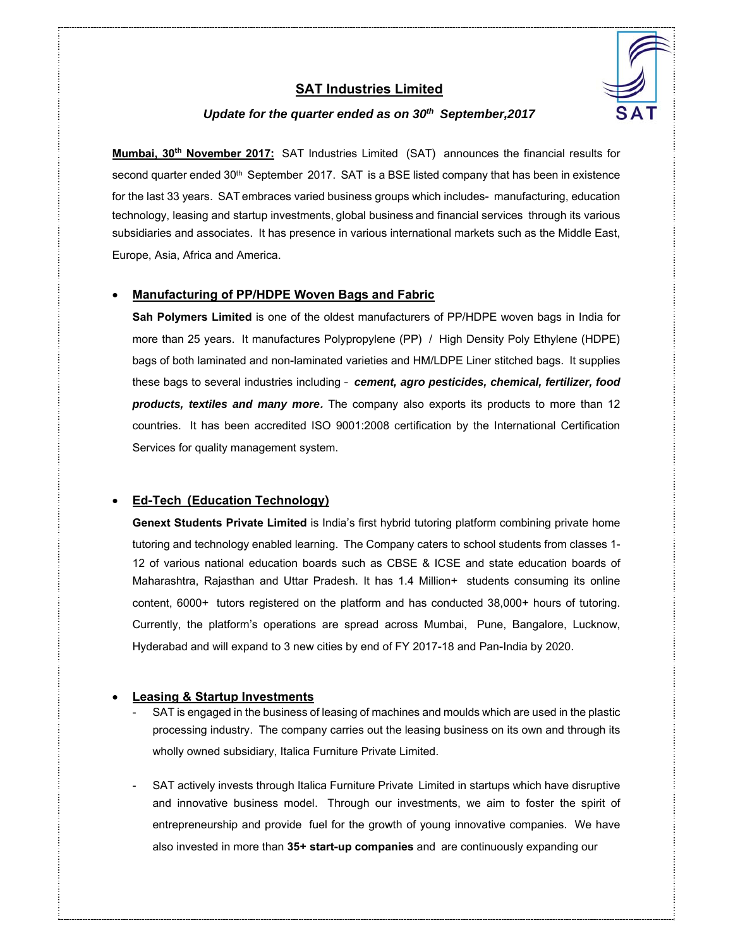

## **SAT Industries Limited**

## *Update for the quarter ended as on 30th September,2017*

**Mumbai, 30th November 2017:** SAT Industries Limited (SAT) announces the financial results for second quarter ended 30<sup>th</sup> September 2017. SAT is a BSE listed company that has been in existence for the last 33 years. SAT embraces varied business groups which includes- manufacturing, education technology, leasing and startup investments, global business and financial services through its various subsidiaries and associates. It has presence in various international markets such as the Middle East, Europe, Asia, Africa and America.

#### **Manufacturing of PP/HDPE Woven Bags and Fabric**

**Sah Polymers Limited** is one of the oldest manufacturers of PP/HDPE woven bags in India for more than 25 years. It manufactures Polypropylene (PP) / High Density Poly Ethylene (HDPE) bags of both laminated and non-laminated varieties and HM/LDPE Liner stitched bags. It supplies these bags to several industries including – *cement, agro pesticides, chemical, fertilizer, food products, textiles and many more***.** The company also exports its products to more than 12 countries. It has been accredited ISO 9001:2008 certification by the International Certification Services for quality management system.

### **Ed-Tech (Education Technology)**

**Genext Students Private Limited** is India's first hybrid tutoring platform combining private home tutoring and technology enabled learning. The Company caters to school students from classes 1- 12 of various national education boards such as CBSE & ICSE and state education boards of Maharashtra, Rajasthan and Uttar Pradesh. It has 1.4 Million+ students consuming its online content, 6000+ tutors registered on the platform and has conducted 38,000+ hours of tutoring. Currently, the platform's operations are spread across Mumbai, Pune, Bangalore, Lucknow, Hyderabad and will expand to 3 new cities by end of FY 2017-18 and Pan-India by 2020.

### **Leasing & Startup Investments**

- SAT is engaged in the business of leasing of machines and moulds which are used in the plastic processing industry. The company carries out the leasing business on its own and through its wholly owned subsidiary, Italica Furniture Private Limited.
- SAT actively invests through Italica Furniture Private Limited in startups which have disruptive and innovative business model. Through our investments, we aim to foster the spirit of entrepreneurship and provide fuel for the growth of young innovative companies. We have also invested in more than **35+ start-up companies** and are continuously expanding our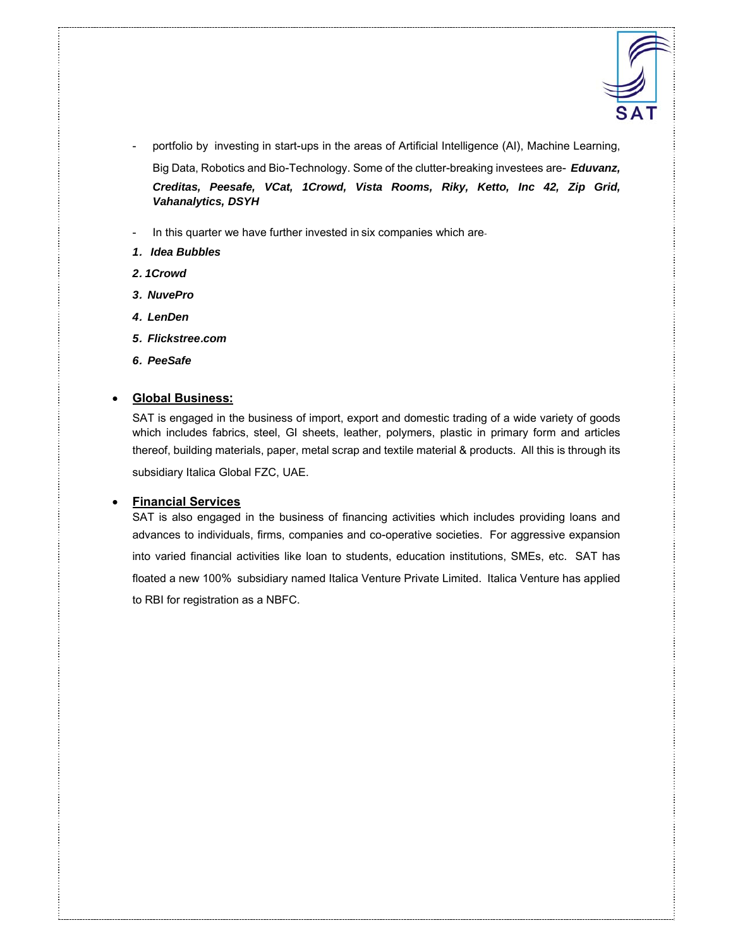

- portfolio by investing in start-ups in the areas of Artificial Intelligence (AI), Machine Learning, Big Data, Robotics and Bio-Technology. Some of the clutter-breaking investees are- *Eduvanz, Creditas, Peesafe, VCat, 1Crowd, Vista Rooms, Riky, Ketto, Inc 42, Zip Grid, Vahanalytics, DSYH*
- In this quarter we have further invested in six companies which are-
- *1***.** *Idea Bubbles*
- *2***.** *1Crowd*
- *3***.** *NuvePro*
- *4***.** *LenDen*
- *5***.** *Flickstree***.***com*
- *6***.** *PeeSafe*

### **Global Business:**

SAT is engaged in the business of import, export and domestic trading of a wide variety of goods which includes fabrics, steel, GI sheets, leather, polymers, plastic in primary form and articles thereof, building materials, paper, metal scrap and textile material & products. All this is through its subsidiary Italica Global FZC, UAE.

#### **Financial Services**

SAT is also engaged in the business of financing activities which includes providing loans and advances to individuals, firms, companies and co-operative societies. For aggressive expansion into varied financial activities like loan to students, education institutions, SMEs, etc. SAT has floated a new 100% subsidiary named Italica Venture Private Limited. Italica Venture has applied to RBI for registration as a NBFC.